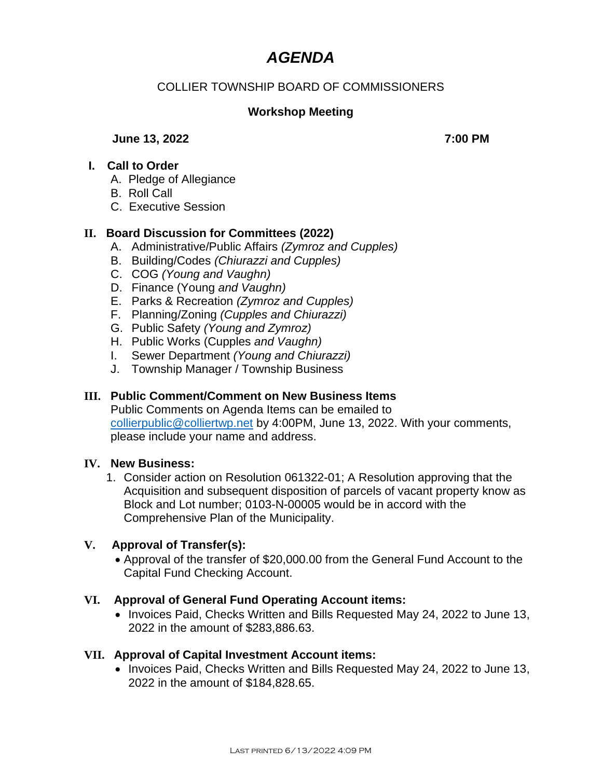# *AGENDA*

## COLLIER TOWNSHIP BOARD OF COMMISSIONERS

## **Workshop Meeting**

#### **June 13, 2022** 7:00 PM

#### **I. Call to Order**

- A. Pledge of Allegiance
- B. Roll Call
- C. Executive Session

#### **II. Board Discussion for Committees (2022)**

- A. Administrative/Public Affairs *(Zymroz and Cupples)*
- B. Building/Codes *(Chiurazzi and Cupples)*
- C. COG *(Young and Vaughn)*
- D. Finance (Young *and Vaughn)*
- E. Parks & Recreation *(Zymroz and Cupples)*
- F. Planning/Zoning *(Cupples and Chiurazzi)*
- G. Public Safety *(Young and Zymroz)*
- H. Public Works (Cupples *and Vaughn)*
- I. Sewer Department *(Young and Chiurazzi)*
- J. Township Manager / Township Business

#### **III. Public Comment/Comment on New Business Items**

Public Comments on Agenda Items can be emailed to [collierpublic@colliertwp.net](mailto:collierpublic@colliertwp.net) by 4:00PM, June 13, 2022. With your comments, please include your name and address.

#### **IV. New Business:**

1. Consider action on Resolution 061322-01; A Resolution approving that the Acquisition and subsequent disposition of parcels of vacant property know as Block and Lot number; 0103-N-00005 would be in accord with the Comprehensive Plan of the Municipality.

#### **V. Approval of Transfer(s):**

• Approval of the transfer of \$20,000.00 from the General Fund Account to the Capital Fund Checking Account.

#### **VI. Approval of General Fund Operating Account items:**

• Invoices Paid, Checks Written and Bills Requested May 24, 2022 to June 13, 2022 in the amount of \$283,886.63.

#### **VII. Approval of Capital Investment Account items:**

• Invoices Paid, Checks Written and Bills Requested May 24, 2022 to June 13, 2022 in the amount of \$184,828.65.